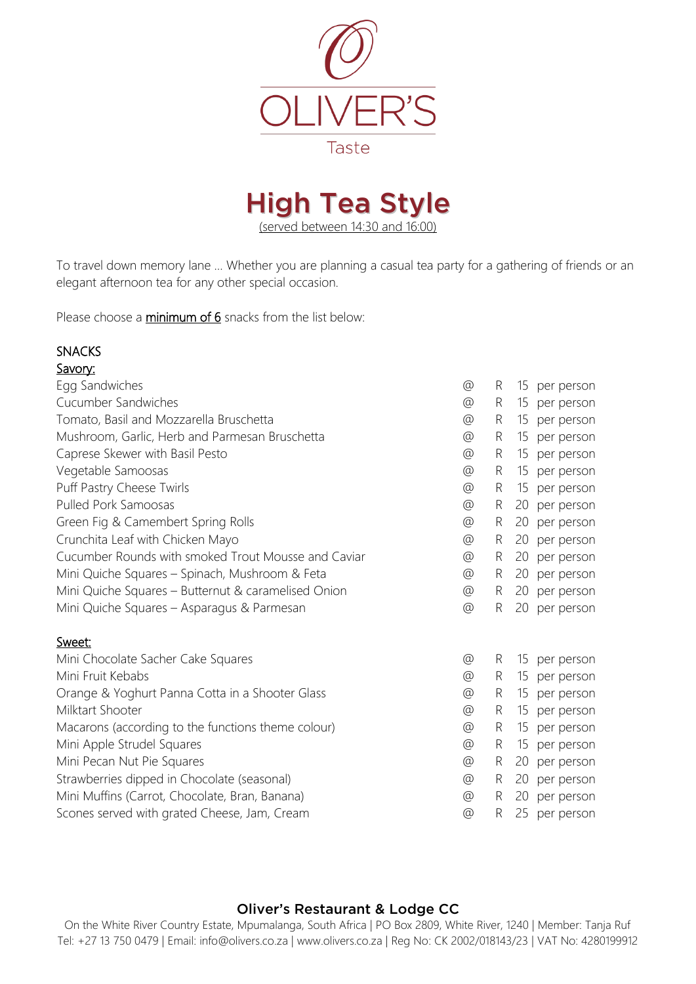



To travel down memory lane … Whether you are planning a casual tea party for a gathering of friends or an elegant afternoon tea for any other special occasion.

Please choose a *minimum of 6* snacks from the list below:

# SNACKS

| Savory:                                             |                 |   |    |            |
|-----------------------------------------------------|-----------------|---|----|------------|
| Egg Sandwiches                                      | @               | R | 15 | per person |
| Cucumber Sandwiches                                 | $\circledcirc$  | R | 15 | per person |
| Tomato, Basil and Mozzarella Bruschetta             | @               | R | 15 | per person |
| Mushroom, Garlic, Herb and Parmesan Bruschetta      | $^{\copyright}$ | R | 15 | per person |
| Caprese Skewer with Basil Pesto                     | $\circledcirc$  | R | 15 | per person |
| Vegetable Samoosas                                  | @               | R | 15 | per person |
| Puff Pastry Cheese Twirls                           | @               | R | 15 | per person |
| Pulled Pork Samoosas                                | @               | R | 20 | per person |
| Green Fig & Camembert Spring Rolls                  | @               | R | 20 | per person |
| Crunchita Leaf with Chicken Mayo                    | @               | R | 20 | per person |
| Cucumber Rounds with smoked Trout Mousse and Caviar | @               | R | 20 | per person |
| Mini Quiche Squares - Spinach, Mushroom & Feta      | @               | R | 20 | per person |
| Mini Quiche Squares - Butternut & caramelised Onion | $\circledcirc$  | R | 20 | per person |
| Mini Quiche Squares - Asparagus & Parmesan          | @               | R | 20 | per person |
| Sweet:                                              |                 |   |    |            |
| Mini Chocolate Sacher Cake Squares                  | @               | R | 15 | per person |
| Mini Fruit Kebabs                                   | @               | R | 15 | per person |
| Orange & Yoghurt Panna Cotta in a Shooter Glass     | @               | R | 15 | per person |
| Milktart Shooter                                    | $^{\circledR}$  | R | 15 | per person |
| Macarons (according to the functions theme colour)  | $^{\copyright}$ | R | 15 | per person |
| Mini Apple Strudel Squares                          | @               | R | 15 | per person |
| Mini Pecan Nut Pie Squares                          | $^{\copyright}$ | R | 20 | per person |
| Strawberries dipped in Chocolate (seasonal)         | @               | R | 20 | per person |
| Mini Muffins (Carrot, Chocolate, Bran, Banana)      | $^{\circledR}$  | R | 20 | per person |
| Scones served with grated Cheese, Jam, Cream        | $\circledcirc$  | R | 25 | per person |

#### Oliver's Restaurant & Lodge CC

On the White River Country Estate, Mpumalanga, South Africa | PO Box 2809, White River, 1240 | Member: Tanja Ruf Tel: +27 13 750 0479 | Email: info@olivers.co.za | www.olivers.co.za | Reg No: CK 2002/018143/23 | VAT No: 4280199912